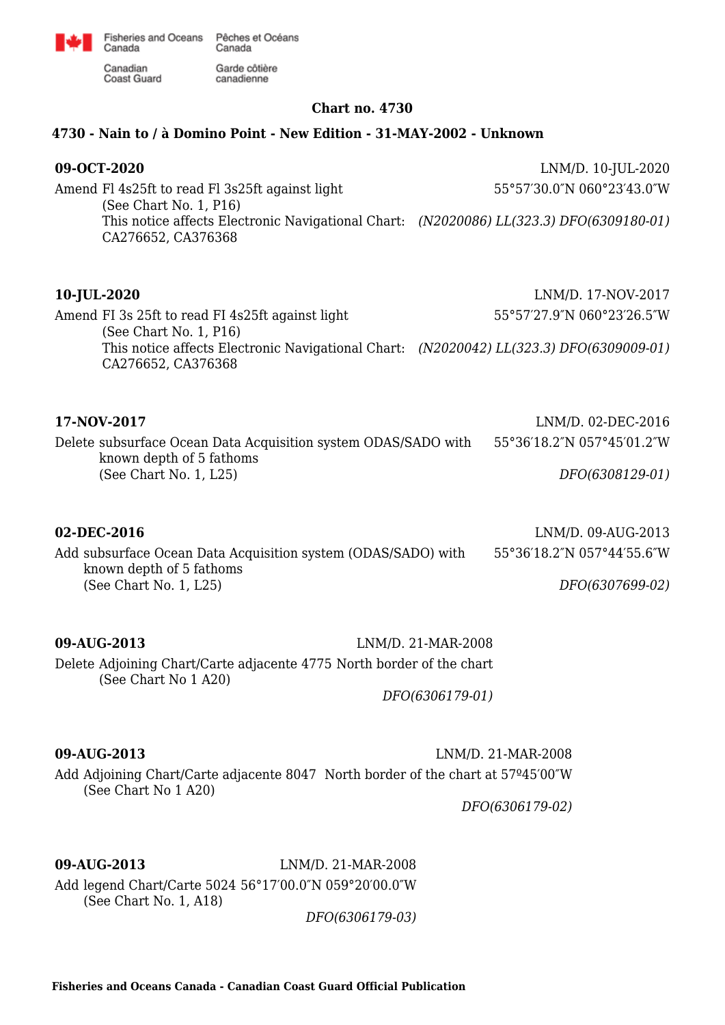

Garde côtière

canadienne

Canadian Coast Guard

Canada

## **Chart no. 4730**

## **4730 - Nain to / à Domino Point - New Edition - 31-MAY-2002 - Unknown**

**09-OCT-2020** LNM/D. 10-JUL-2020 Amend Fl 4s25ft to read Fl 3s25ft against light (See Chart No. 1, P16) This notice affects Electronic Navigational Chart: *(N2020086) LL(323.3) DFO(6309180-01)* CA276652, CA376368 55°57′30.0″N 060°23′43.0″W

| 10-JUL-2020 |  |
|-------------|--|
|-------------|--|

Amend FI 3s 25ft to read FI 4s25ft against light (See Chart No. 1, P16) This notice affects Electronic Navigational Chart: *(N2020042) LL(323.3) DFO(6309009-01)* CA276652, CA376368 55°57′27.9″N 060°23′26.5″W

**17-NOV-2017** LNM/D. 02-DEC-2016 Delete subsurface Ocean Data Acquisition system ODAS/SADO with known depth of 5 fathoms (See Chart No. 1, L25) 55°36′18.2″N 057°45′01.2″W *DFO(6308129-01)*

### **02-DEC-2016** LNM/D. 09-AUG-2013

Add subsurface Ocean Data Acquisition system (ODAS/SADO) with known depth of 5 fathoms (See Chart No. 1, L25) 55°36′18.2″N 057°44′55.6″W *DFO(6307699-02)*

**09-AUG-2013** LNM/D. 21-MAR-2008 Delete Adjoining Chart/Carte adjacente 4775 North border of the chart (See Chart No 1 A20)

*DFO(6306179-01)*

**09-AUG-2013** LNM/D. 21-MAR-2008 Add Adjoining Chart/Carte adjacente 8047 North border of the chart at 57º45′00″W (See Chart No 1 A20)

*DFO(6306179-02)*

**10-JUL-2020** LNM/D. 17-NOV-2017

# **09-AUG-2013** LNM/D. 21-MAR-2008

Add legend Chart/Carte 5024 56°17′00.0″N 059°20′00.0″W (See Chart No. 1, A18)

*DFO(6306179-03)*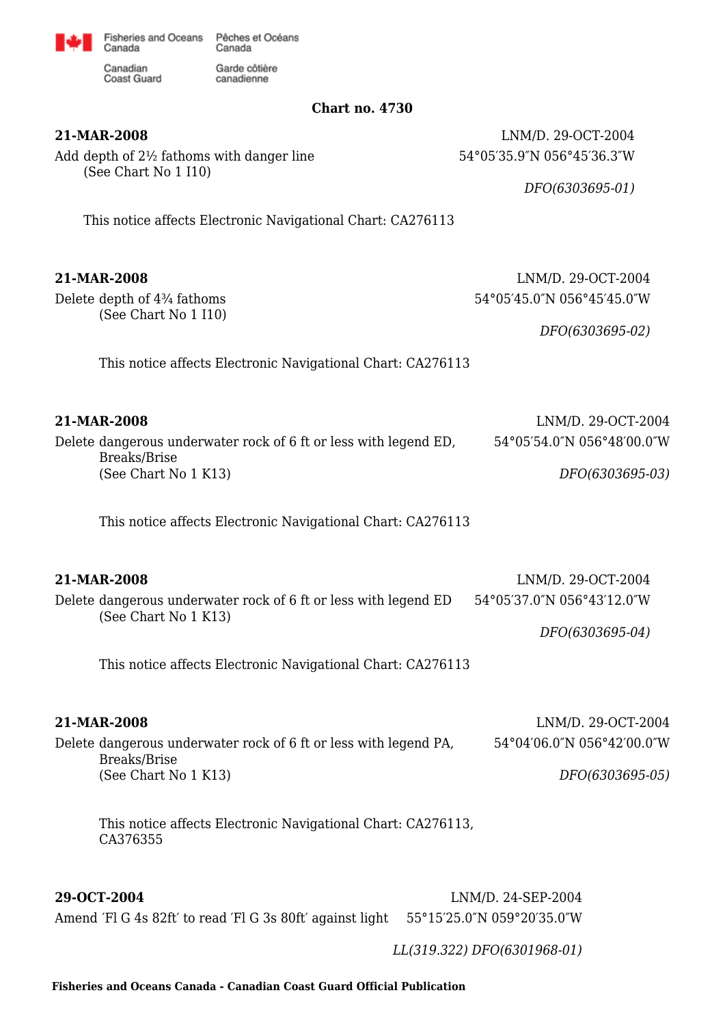

Garde côtière

canadienne

Canadian Coast Guard

Canada

**Chart no. 4730**

Add depth of 2½ fathoms with danger line (See Chart No 1 I10)

**21-MAR-2008** LNM/D. 29-OCT-2004 54°05′35.9″N 056°45′36.3″W

*DFO(6303695-01)*

This notice affects Electronic Navigational Chart: CA276113

Delete depth of 4¾ fathoms (See Chart No 1 I10)

**21-MAR-2008** LNM/D. 29-OCT-2004 54°05′45.0″N 056°45′45.0″W

*DFO(6303695-02)*

This notice affects Electronic Navigational Chart: CA276113

| 21-MAR-2008                                                                      | LNM/D. 29-OCT-2004         |
|----------------------------------------------------------------------------------|----------------------------|
| Delete dangerous underwater rock of 6 ft or less with legend ED.<br>Breaks/Brise | 54°05′54.0"N 056°48′00.0"W |
| (See Chart No 1 K13)                                                             | DFO(6303695-03)            |

This notice affects Electronic Navigational Chart: CA276113

| 21-MAR-2008                                                                             | LNM/D. 29-OCT-2004         |
|-----------------------------------------------------------------------------------------|----------------------------|
| Delete dangerous underwater rock of 6 ft or less with legend ED<br>(See Chart No 1 K13) | 54°05′37.0″N 056°43′12.0″W |
|                                                                                         | DFO(6303695-04)            |

This notice affects Electronic Navigational Chart: CA276113

## **21-MAR-2008** LNM/D. 29-OCT-2004

Delete dangerous underwater rock of 6 ft or less with legend PA, Breaks/Brise (See Chart No 1 K13) 54°04′06.0″N 056°42′00.0″W *DFO(6303695-05)*

This notice affects Electronic Navigational Chart: CA276113, CA376355

**29-OCT-2004** LNM/D. 24-SEP-2004

Amend ′Fl G 4s 82ft′ to read ′Fl G 3s 80ft′ against light 55°15′25.0″N 059°20′35.0″W

*LL(319.322) DFO(6301968-01)*